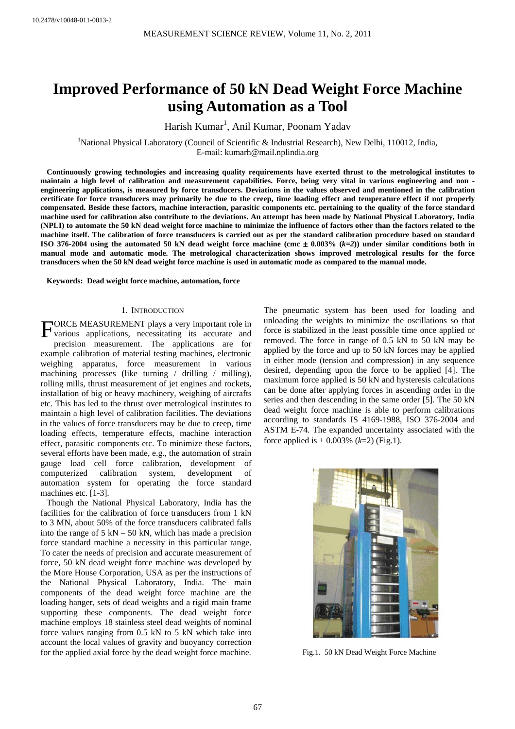# **Improved Performance of 50 kN Dead Weight Force Machine using Automation as a Tool**

Harish Kumar<sup>1</sup>, Anil Kumar, Poonam Yadav

<sup>1</sup>National Physical Laboratory (Council of Scientific & Industrial Research), New Delhi, 110012, India, E-mail: kumarh@mail.nplindia.org

**Continuously growing technologies and increasing quality requirements have exerted thrust to the metrological institutes to maintain a high level of calibration and measurement capabilities. Force, being very vital in various engineering and non engineering applications, is measured by force transducers. Deviations in the values observed and mentioned in the calibration certificate for force transducers may primarily be due to the creep, time loading effect and temperature effect if not properly compensated. Beside these factors, machine interaction, parasitic components etc. pertaining to the quality of the force standard machine used for calibration also contribute to the deviations. An attempt has been made by National Physical Laboratory, India (NPLI) to automate the 50 kN dead weight force machine to minimize the influence of factors other than the factors related to the machine itself. The calibration of force transducers is carried out as per the standard calibration procedure based on standard** ISO 376-2004 using the automated 50 kN dead weight force machine (cmc  $\pm$  0.003%  $(k=2)$ ) under similar conditions both in **manual mode and automatic mode. The metrological characterization shows improved metrological results for the force transducers when the 50 kN dead weight force machine is used in automatic mode as compared to the manual mode.** 

**Keywords: Dead weight force machine, automation, force** 

#### 1. INTRODUCTION

ORCE MEASUREMENT plays a very important role in FORCE MEASUREMENT plays a very important role in various applications, necessitating its accurate and precision measurement. The applications are for example calibration of material testing machines, electronic weighing apparatus, force measurement in various machining processes (like turning / drilling / milling), rolling mills, thrust measurement of jet engines and rockets, installation of big or heavy machinery, weighing of aircrafts etc. This has led to the thrust over metrological institutes to maintain a high level of calibration facilities. The deviations in the values of force transducers may be due to creep, time loading effects, temperature effects, machine interaction effect, parasitic components etc. To minimize these factors, several efforts have been made, e.g., the automation of strain gauge load cell force calibration, development of computerized calibration system, development of automation system for operating the force standard machines etc. [1-3].

Though the National Physical Laboratory, India has the facilities for the calibration of force transducers from 1 kN to 3 MN, about 50% of the force transducers calibrated falls into the range of  $5 \text{ kN} - 50 \text{ kN}$ , which has made a precision force standard machine a necessity in this particular range. To cater the needs of precision and accurate measurement of force, 50 kN dead weight force machine was developed by the More House Corporation, USA as per the instructions of the National Physical Laboratory, India. The main components of the dead weight force machine are the loading hanger, sets of dead weights and a rigid main frame supporting these components. The dead weight force machine employs 18 stainless steel dead weights of nominal force values ranging from 0.5 kN to 5 kN which take into account the local values of gravity and buoyancy correction for the applied axial force by the dead weight force machine.

The pneumatic system has been used for loading and unloading the weights to minimize the oscillations so that force is stabilized in the least possible time once applied or removed. The force in range of 0.5 kN to 50 kN may be applied by the force and up to 50 kN forces may be applied in either mode (tension and compression) in any sequence desired, depending upon the force to be applied [4]. The maximum force applied is 50 kN and hysteresis calculations can be done after applying forces in ascending order in the series and then descending in the same order [5]. The 50 kN dead weight force machine is able to perform calibrations according to standards IS 4169-1988, ISO 376-2004 and ASTM E-74. The expanded uncertainty associated with the force applied is  $\pm$  0.003% (*k*=2) (Fig.1).



Fig.1. 50 kN Dead Weight Force Machine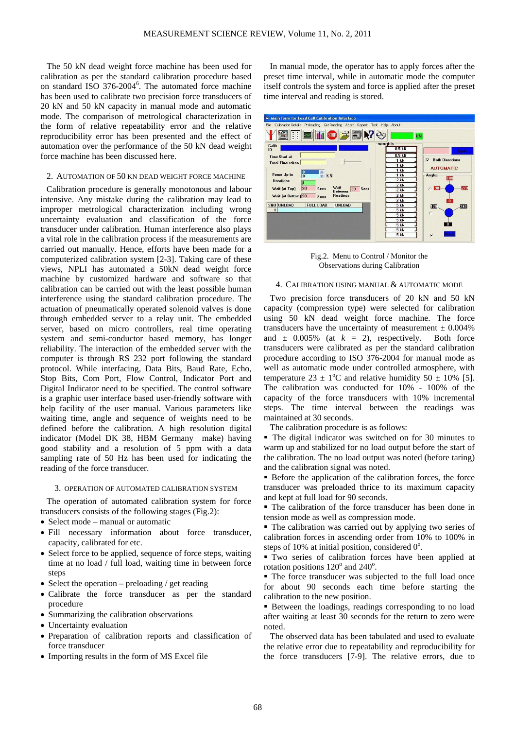The 50 kN dead weight force machine has been used for calibration as per the standard calibration procedure based on standard ISO 376-2004<sup>6</sup>. The automated force machine has been used to calibrate two precision force transducers of 20 kN and 50 kN capacity in manual mode and automatic mode. The comparison of metrological characterization in the form of relative repeatability error and the relative reproducibility error has been presented and the effect of automation over the performance of the 50 kN dead weight force machine has been discussed here.

# 2. AUTOMATION OF 50 KN DEAD WEIGHT FORCE MACHINE

Calibration procedure is generally monotonous and labour intensive. Any mistake during the calibration may lead to improper metrological characterization including wrong uncertainty evaluation and classification of the force transducer under calibration. Human interference also plays a vital role in the calibration process if the measurements are carried out manually. Hence, efforts have been made for a computerized calibration system [2-3]. Taking care of these views, NPLI has automated a 50kN dead weight force machine by customized hardware and software so that calibration can be carried out with the least possible human interference using the standard calibration procedure. The actuation of pneumatically operated solenoid valves is done through embedded server to a relay unit. The embedded server, based on micro controllers, real time operating system and semi-conductor based memory, has longer reliability. The interaction of the embedded server with the computer is through RS 232 port following the standard protocol. While interfacing, Data Bits, Baud Rate, Echo, Stop Bits, Com Port, Flow Control, Indicator Port and Digital Indicator need to be specified. The control software is a graphic user interface based user-friendly software with help facility of the user manual. Various parameters like waiting time, angle and sequence of weights need to be defined before the calibration. A high resolution digital indicator (Model DK 38, HBM Germany make) having good stability and a resolution of 5 ppm with a data sampling rate of 50 Hz has been used for indicating the reading of the force transducer.

#### 3. OPERATION OF AUTOMATED CALIBRATION SYSTEM

The operation of automated calibration system for force transducers consists of the following stages (Fig.2):

- Select mode manual or automatic
- Fill necessary information about force transducer, capacity, calibrated for etc.
- Select force to be applied, sequence of force steps, waiting time at no load / full load, waiting time in between force steps
- Select the operation preloading / get reading
- Calibrate the force transducer as per the standard procedure
- Summarizing the calibration observations
- Uncertainty evaluation
- Preparation of calibration reports and classification of force transducer
- Importing results in the form of MS Excel file

In manual mode, the operator has to apply forces after the preset time interval, while in automatic mode the computer itself controls the system and force is applied after the preset time interval and reading is stored.



Fig.2. Menu to Control / Monitor the Observations during Calibration

# 4. CALIBRATION USING MANUAL & AUTOMATIC MODE

Two precision force transducers of 20 kN and 50 kN capacity (compression type) were selected for calibration using 50 kN dead weight force machine. The force transducers have the uncertainty of measurement  $\pm 0.004\%$ and  $\pm$  0.005% (at  $k = 2$ ), respectively. Both force transducers were calibrated as per the standard calibration procedure according to ISO 376-2004 for manual mode as well as automatic mode under controlled atmosphere, with temperature  $23 \pm 1$ °C and relative humidity  $50 \pm 10$ % [5]. The calibration was conducted for 10% - 100% of the capacity of the force transducers with 10% incremental steps. The time interval between the readings was maintained at 30 seconds.

The calibration procedure is as follows:

• The digital indicator was switched on for 30 minutes to warm up and stabilized for no load output before the start of the calibration. The no load output was noted (before taring) and the calibration signal was noted.

 Before the application of the calibration forces, the force transducer was preloaded thrice to its maximum capacity and kept at full load for 90 seconds.

 The calibration of the force transducer has been done in tension mode as well as compression mode.

 The calibration was carried out by applying two series of calibration forces in ascending order from 10% to 100% in steps of 10% at initial position, considered  $0^\circ$ .

 Two series of calibration forces have been applied at rotation positions  $120^{\circ}$  and  $240^{\circ}$ .

 The force transducer was subjected to the full load once for about 90 seconds each time before starting the calibration to the new position.

■ Between the loadings, readings corresponding to no load after waiting at least 30 seconds for the return to zero were noted.

The observed data has been tabulated and used to evaluate the relative error due to repeatability and reproducibility for the force transducers [7-9]. The relative errors, due to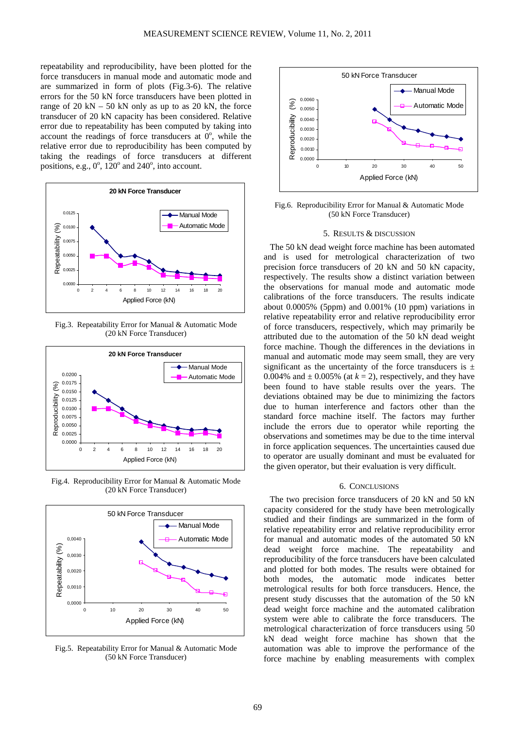repeatability and reproducibility, have been plotted for the force transducers in manual mode and automatic mode and are summarized in form of plots (Fig.3-6). The relative errors for the 50 kN force transducers have been plotted in range of  $20 \text{ kN} - 50 \text{ kN}$  only as up to as  $20 \text{ kN}$ , the force transducer of 20 kN capacity has been considered. Relative error due to repeatability has been computed by taking into account the readings of force transducers at  $0^\circ$ , while the relative error due to reproducibility has been computed by taking the readings of force transducers at different positions, e.g.,  $0^\circ$ ,  $120^\circ$  and  $240^\circ$ , into account.



Fig.3. Repeatability Error for Manual & Automatic Mode (20 kN Force Transducer)



Fig.4. Reproducibility Error for Manual & Automatic Mode (20 kN Force Transducer)



Fig.5. Repeatability Error for Manual & Automatic Mode (50 kN Force Transducer)



Fig.6. Reproducibility Error for Manual & Automatic Mode (50 kN Force Transducer)

# 5. RESULTS & DISCUSSION

The 50 kN dead weight force machine has been automated and is used for metrological characterization of two precision force transducers of 20 kN and 50 kN capacity, respectively. The results show a distinct variation between the observations for manual mode and automatic mode calibrations of the force transducers. The results indicate about 0.0005% (5ppm) and 0.001% (10 ppm) variations in relative repeatability error and relative reproducibility error of force transducers, respectively, which may primarily be attributed due to the automation of the 50 kN dead weight force machine. Though the differences in the deviations in manual and automatic mode may seem small, they are very significant as the uncertainty of the force transducers is  $\pm$ 0.004% and  $\pm$  0.005% (at  $k = 2$ ), respectively, and they have been found to have stable results over the years. The deviations obtained may be due to minimizing the factors due to human interference and factors other than the standard force machine itself. The factors may further include the errors due to operator while reporting the observations and sometimes may be due to the time interval in force application sequences. The uncertainties caused due to operator are usually dominant and must be evaluated for the given operator, but their evaluation is very difficult.

#### 6. CONCLUSIONS

The two precision force transducers of 20 kN and 50 kN capacity considered for the study have been metrologically studied and their findings are summarized in the form of relative repeatability error and relative reproducibility error for manual and automatic modes of the automated 50 kN dead weight force machine. The repeatability and reproducibility of the force transducers have been calculated and plotted for both modes. The results were obtained for both modes, the automatic mode indicates better metrological results for both force transducers. Hence, the present study discusses that the automation of the 50 kN dead weight force machine and the automated calibration system were able to calibrate the force transducers. The metrological characterization of force transducers using 50 kN dead weight force machine has shown that the automation was able to improve the performance of the force machine by enabling measurements with complex